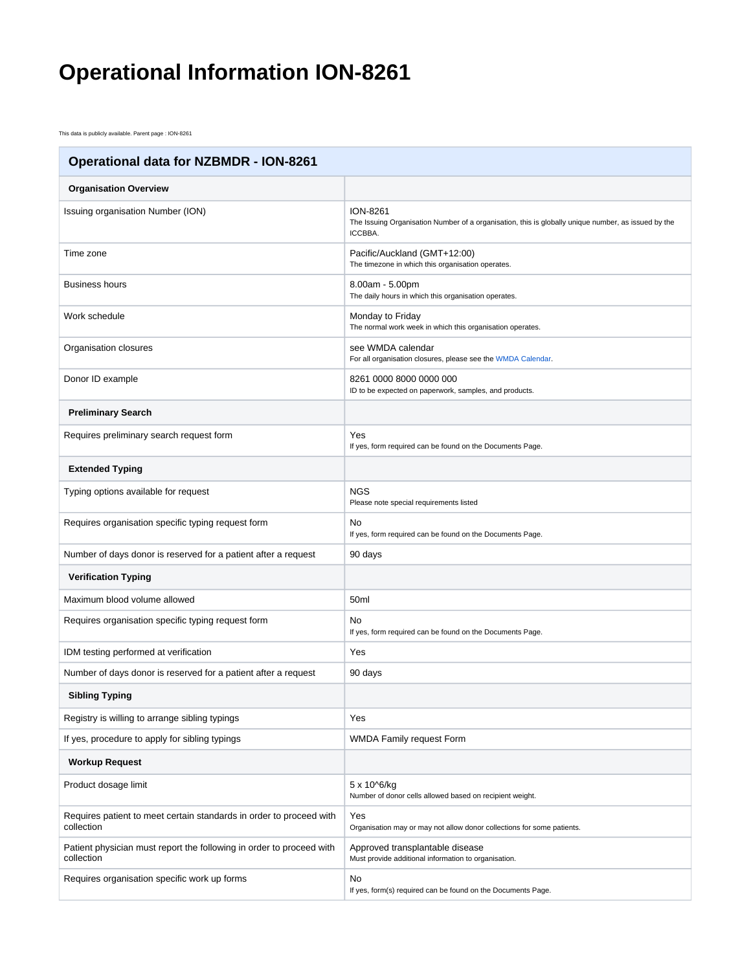## **Operational Information ION-8261**

This data is publicly available. Parent page : ION-8261

| <b>Operational data for NZBMDR - ION-8261</b>                                      |                                                                                                                                   |
|------------------------------------------------------------------------------------|-----------------------------------------------------------------------------------------------------------------------------------|
| <b>Organisation Overview</b>                                                       |                                                                                                                                   |
| Issuing organisation Number (ION)                                                  | <b>ION-8261</b><br>The Issuing Organisation Number of a organisation, this is globally unique number, as issued by the<br>ICCBBA. |
| Time zone                                                                          | Pacific/Auckland (GMT+12:00)<br>The timezone in which this organisation operates.                                                 |
| <b>Business hours</b>                                                              | 8.00am - 5.00pm<br>The daily hours in which this organisation operates.                                                           |
| Work schedule                                                                      | Monday to Friday<br>The normal work week in which this organisation operates.                                                     |
| Organisation closures                                                              | see WMDA calendar<br>For all organisation closures, please see the WMDA Calendar.                                                 |
| Donor ID example                                                                   | 8261 0000 8000 0000 000<br>ID to be expected on paperwork, samples, and products.                                                 |
| <b>Preliminary Search</b>                                                          |                                                                                                                                   |
| Requires preliminary search request form                                           | Yes<br>If yes, form required can be found on the Documents Page.                                                                  |
| <b>Extended Typing</b>                                                             |                                                                                                                                   |
| Typing options available for request                                               | <b>NGS</b><br>Please note special requirements listed                                                                             |
| Requires organisation specific typing request form                                 | No.<br>If yes, form required can be found on the Documents Page.                                                                  |
| Number of days donor is reserved for a patient after a request                     | 90 days                                                                                                                           |
| <b>Verification Typing</b>                                                         |                                                                                                                                   |
| Maximum blood volume allowed                                                       | 50ml                                                                                                                              |
| Requires organisation specific typing request form                                 | No.<br>If yes, form required can be found on the Documents Page.                                                                  |
| IDM testing performed at verification                                              | Yes                                                                                                                               |
| Number of days donor is reserved for a patient after a request                     | 90 days                                                                                                                           |
| <b>Sibling Typing</b>                                                              |                                                                                                                                   |
| Registry is willing to arrange sibling typings                                     | Yes                                                                                                                               |
| If yes, procedure to apply for sibling typings                                     | WMDA Family request Form                                                                                                          |
| <b>Workup Request</b>                                                              |                                                                                                                                   |
| Product dosage limit                                                               | 5 x 10^6/kg<br>Number of donor cells allowed based on recipient weight.                                                           |
| Requires patient to meet certain standards in order to proceed with<br>collection  | Yes<br>Organisation may or may not allow donor collections for some patients.                                                     |
| Patient physician must report the following in order to proceed with<br>collection | Approved transplantable disease<br>Must provide additional information to organisation.                                           |
| Requires organisation specific work up forms                                       | No<br>If yes, form(s) required can be found on the Documents Page.                                                                |